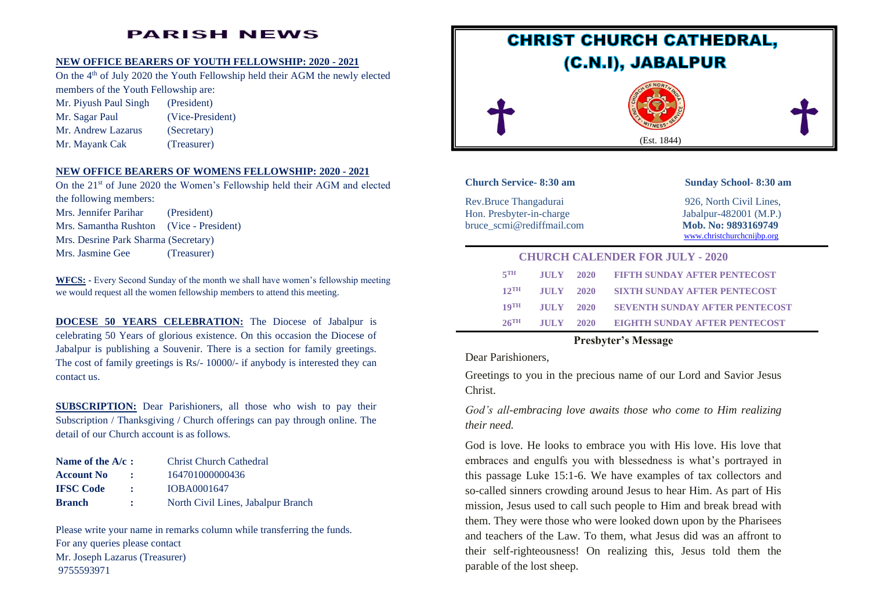## **PARISH NEWS**

#### **NEW OFFICE BEARERS OF YOUTH FELLOWSHIP: 2020 - 2021**

On the 4<sup>th</sup> of July 2020 the Youth Fellowship held their AGM the newly elected members of the Youth Fellowship are:

Mr. Piyush Paul Singh (President) Mr. Sagar Paul (Vice-President) Mr. Andrew Lazarus (Secretary) Mr. Mayank Cak (Treasurer)

# **NEW OFFICE BEARERS OF WOMENS FELLOWSHIP: 2020 - 2021**

On the 21<sup>st</sup> of June 2020 the Women's Fellowship held their AGM and elected the following members: Mrs. Jennifer Parihar (President) Mrs. Samantha Rushton (Vice - President) Mrs. Desrine Park Sharma (Secretary) Mrs. Jasmine Gee (Treasurer)

**WFCS: -** Every Second Sunday of the month we shall have women's fellowship meeting we would request all the women fellowship members to attend this meeting.

**DOCESE 50 YEARS CELEBRATION:** The Diocese of Jabalpur is celebrating 50 Years of glorious existence. On this occasion the Diocese of Jabalpur is publishing a Souvenir. There is a section for family greetings. The cost of family greetings is Rs/- 10000/- if anybody is interested they can contact us.

**SUBSCRIPTION:** Dear Parishioners, all those who wish to pay their Subscription / Thanksgiving / Church offerings can pay through online. The detail of our Church account is as follows.

| Name of the $A/c$ : |                  | <b>Christ Church Cathedral</b>     |
|---------------------|------------------|------------------------------------|
| <b>Account No</b>   | $\sim$ 100 $\pm$ | 164701000000436                    |
| <b>IFSC</b> Code    | $\mathcal{L}$    | IOBA0001647                        |
| <b>Branch</b>       | $\mathbf{r}$     | North Civil Lines, Jabalpur Branch |

Please write your name in remarks column while transferring the funds. For any queries please contact Mr. Joseph Lazarus (Treasurer) 9755593971



## **Church Service- 8:30 am Sunday School- 8:30 am**

Rev.Bruce Thangadurai 926, North Civil Lines, Hon. Presbyter-in-charge Jabalpur-482001 (M.P.) bruce scmi@rediffmail.com Mob. No: 9893169749

[www.christchurchcnijbp.org](http://www.christchurchcnijbp.org/)

|                    |                 | <b>CHURCH CALENDER FOR JULY - 2020</b> |
|--------------------|-----------------|----------------------------------------|
| $5$ <sup>TH</sup>  |                 | JULY 2020 FIFTH SUNDAY AFTER PENTECOST |
| $12$ TH            | $JULY = 2020$   | <b>SIXTH SUNDAY AFTER PENTECOST</b>    |
| $10$ TH            | $JIII.V = 2020$ | <b>SEVENTH SUNDAY AFTER PENTECOST</b>  |
| $26$ <sup>TH</sup> | $JIII.V = 2020$ | EIGHTH SUNDAY AFTER PENTECOST          |

## **Presbyter's Message**

Dear Parishioners,

Greetings to you in the precious name of our Lord and Savior Jesus Christ.

*God's all-embracing love awaits those who come to Him realizing their need.*

God is love. He looks to embrace you with His love. His love that embraces and engulfs you with blessedness is what's portrayed in this passage Luke 15:1-6. We have examples of tax collectors and so-called sinners crowding around Jesus to hear Him. As part of His mission, Jesus used to call such people to Him and break bread with them. They were those who were looked down upon by the Pharisees and teachers of the Law. To them, what Jesus did was an affront to their self-righteousness! On realizing this, Jesus told them the parable of the lost sheep.